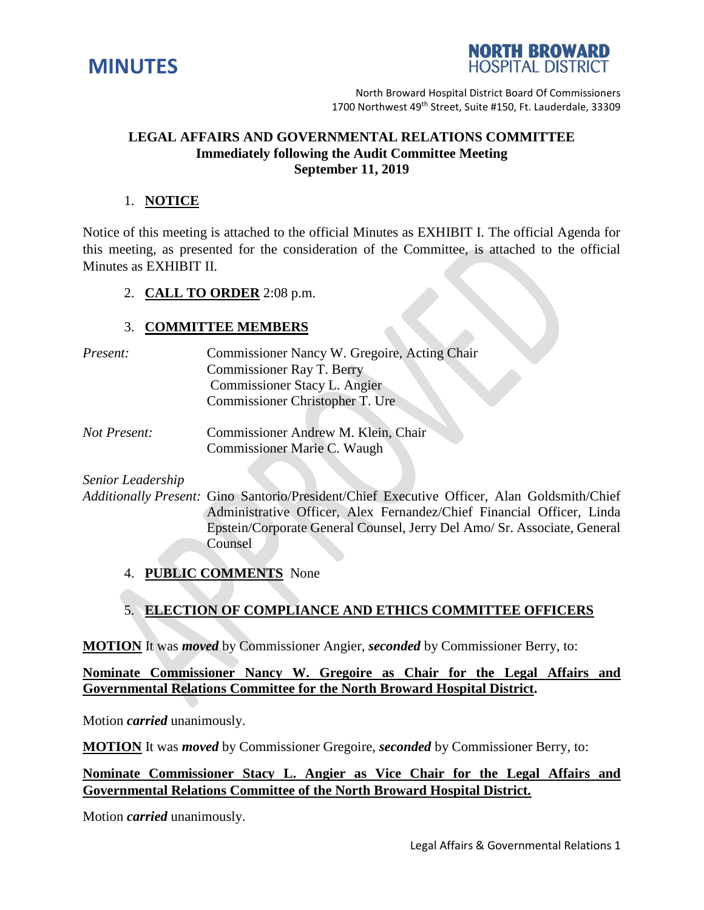



North Broward Hospital District Board Of Commissioners 1700 Northwest 49<sup>th</sup> Street, Suite #150, Ft. Lauderdale, 33309

#### **LEGAL AFFAIRS AND GOVERNMENTAL RELATIONS COMMITTEE Immediately following the Audit Committee Meeting September 11, 2019**

#### 1. **NOTICE**

Notice of this meeting is attached to the official Minutes as EXHIBIT I. The official Agenda for this meeting, as presented for the consideration of the Committee, is attached to the official Minutes as EXHIBIT II.

#### 2. **CALL TO ORDER** 2:08 p.m.

#### 3. **COMMITTEE MEMBERS**

| Commissioner Nancy W. Gregoire, Acting Chair |
|----------------------------------------------|
|                                              |
|                                              |
|                                              |
|                                              |

*Not Present:* Commissioner Andrew M. Klein, Chair Commissioner Marie C. Waugh

*Senior Leadership*

*Additionally Present:* Gino Santorio/President/Chief Executive Officer, Alan Goldsmith/Chief Administrative Officer, Alex Fernandez/Chief Financial Officer, Linda Epstein/Corporate General Counsel, Jerry Del Amo/ Sr. Associate, General Counsel

4. **PUBLIC COMMENTS** None

# 5. **ELECTION OF COMPLIANCE AND ETHICS COMMITTEE OFFICERS**

**MOTION** It was *moved* by Commissioner Angier, *seconded* by Commissioner Berry, to:

### **Nominate Commissioner Nancy W. Gregoire as Chair for the Legal Affairs and Governmental Relations Committee for the North Broward Hospital District.**

Motion *carried* unanimously.

**MOTION** It was *moved* by Commissioner Gregoire, *seconded* by Commissioner Berry, to:

**Nominate Commissioner Stacy L. Angier as Vice Chair for the Legal Affairs and Governmental Relations Committee of the North Broward Hospital District.**

Motion *carried* unanimously.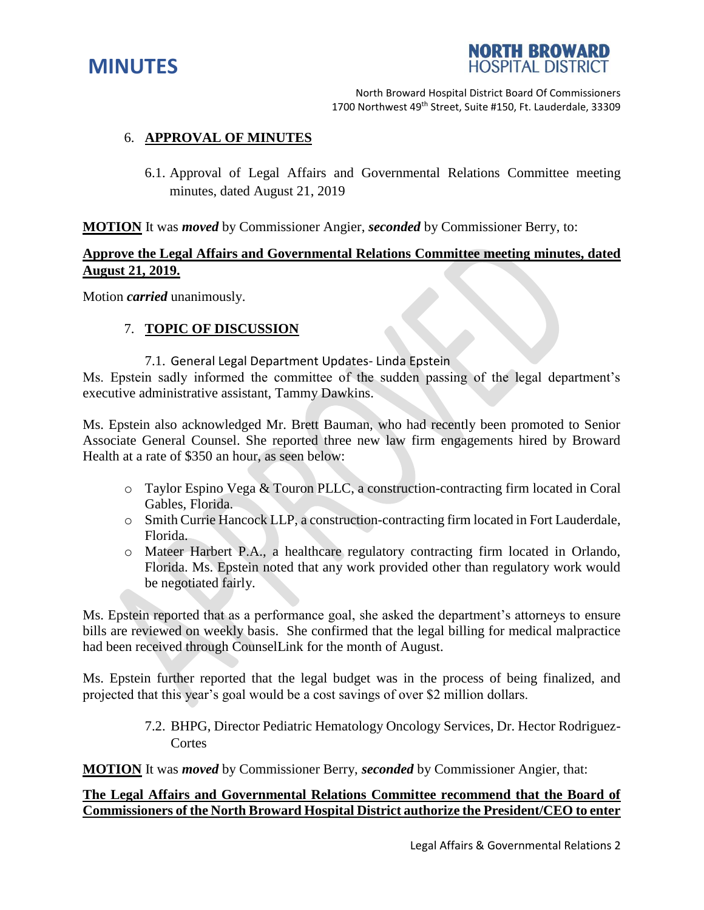



North Broward Hospital District Board Of Commissioners 1700 Northwest 49<sup>th</sup> Street, Suite #150, Ft. Lauderdale, 33309

#### 6. **APPROVAL OF MINUTES**

6.1. Approval of Legal Affairs and Governmental Relations Committee meeting minutes, dated August 21, 2019

**MOTION** It was *moved* by Commissioner Angier, *seconded* by Commissioner Berry, to:

# **Approve the Legal Affairs and Governmental Relations Committee meeting minutes, dated August 21, 2019.**

Motion *carried* unanimously.

# 7. **TOPIC OF DISCUSSION**

7.1. General Legal Department Updates- Linda Epstein Ms. Epstein sadly informed the committee of the sudden passing of the legal department's executive administrative assistant, Tammy Dawkins.

Ms. Epstein also acknowledged Mr. Brett Bauman, who had recently been promoted to Senior Associate General Counsel. She reported three new law firm engagements hired by Broward Health at a rate of \$350 an hour, as seen below:

- o Taylor Espino Vega & Touron PLLC, a construction-contracting firm located in Coral Gables, Florida.
- o Smith Currie Hancock LLP, a construction-contracting firm located in Fort Lauderdale, Florida.
- o Mateer Harbert P.A., a healthcare regulatory contracting firm located in Orlando, Florida. Ms. Epstein noted that any work provided other than regulatory work would be negotiated fairly.

Ms. Epstein reported that as a performance goal, she asked the department's attorneys to ensure bills are reviewed on weekly basis. She confirmed that the legal billing for medical malpractice had been received through CounselLink for the month of August.

Ms. Epstein further reported that the legal budget was in the process of being finalized, and projected that this year's goal would be a cost savings of over \$2 million dollars.

> 7.2. BHPG, Director Pediatric Hematology Oncology Services, Dr. Hector Rodriguez-**Cortes**

**MOTION** It was *moved* by Commissioner Berry, *seconded* by Commissioner Angier, that:

# **The Legal Affairs and Governmental Relations Committee recommend that the Board of Commissioners of the North Broward Hospital District authorize the President/CEO to enter**